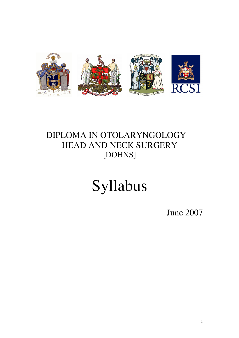

## DIPLOMA IN OTOLARYNGOLOGY – HEAD AND NECK SURGERY [DOHNS]

# Syllabus

June 2007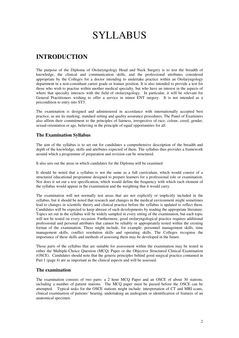# SYLLABUS

### **INTRODUCTION**

The purpose of the Diploma of Otolaryngology Head and Neck Surgery is to test the breadth of knowledge, the clinical and communication skills, and the professional attributes considered appropriate by the Colleges for a doctor intending to undertake practice within an Otolaryngology department in a non-consultant career grade or trainee position. It is also intended to provide a test for those who wish to practise within another medical specialty, but who have an interest in the aspects of where that specialty interacts with the field of otolaryngology. In particular, it will be relevant for General Practitioners wishing to offer a service in minor ENT surgery. It is not intended as a precondition to entry into ST3.

The examination is designed and administered in accordance with internationally accepted best practice, as are its marking, standard setting and quality assurance procedures. The Panel of Examiners also affirm their commitment to the principles of fairness, irrespective of race, colour, creed, gender, sexual-orientation or age, believing in the principle of equal opportunities for all.

### **The Examination Syllabus**

The aim of the syllabus is to set out for candidates a comprehensive description of the breadth and depth of the knowledge, skills and attributes expected of them. The syllabus thus provides a framework around which a programme of preparation and revision can be structured.

It also sets out the areas in which candidates for the Diploma will be examined

It should be noted that a syllabus is not the same as a full curriculum, which would consist of a structured educational programme designed to prepare learners for a professional role or examination. Nor does it set out a test specification, which would define the frequency with which each element of the syllabus would appear in the examination and the weighting that it would carry.

The examination will not normally test areas that are not explicitly or implicitly included in the syllabus, but it should be noted that research and changes in the medical environment might sometimes lead to changes in scientific theory and clinical practice before the syllabus is updated to reflect them. Candidates will be expected to keep abreast of such developments by reading the appropriate literature. Topics set out in the syllabus will be widely sampled in every sitting of the examination, but each topic will not be tested on every occasion. Furthermore, good otolaryngological practice requires additional professional and personal attributes that cannot be reliably or appropriately tested within the existing format of the examination. These might include, for example: personnel management skills, time management skills, conflict resolution skills and operating skills. The Colleges recognise the importance of these skills and methods of assessing them may be developed in the future.

Those parts of the syllabus that are suitable for assessment within the examination may be tested in either the Multiple-Choice Question (MCQ) Paper or the Objective Structured Clinical Examination (OSCE). Candidates should note that the generic principles behind good surgical practice contained in Part 1 (page 4) are as important as the clinical aspects and will be assessed.

### **The examination**

The examination consists of two parts: a 2 hour MCQ Paper and an OSCE of about 30 stations, including a number of patient stations. The MCQ paper must be passed before the OSCE can be attempted. Typical tasks for the OSCE stations might include: interpretation of CT and MRI scans, clinical examination of patients' hearing, undertaking an audiogram or identification of features of an anatomical specimen.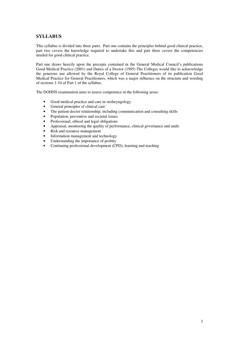### **SYLLABUS**

This syllabus is divided into three parts. Part one contains the principles behind good clinical practice, part two covers the knowledge required to undertake this and part three covers the competencies needed for good clinical practice.

Part one draws heavily upon the precepts contained in the General Medical Council's publications Good Medical Practice (2001) and Duties of a Doctor (1995) The Colleges would like to acknowledge the generous use allowed by the Royal College of General Practitioners of its publication Good Medical Practice for General Practitioners, which was a major influence on the structure and wording of sections 1-10 of Part 1 of the syllabus.

The DOHNS examination aims to assess competence in the following areas:

- Good medical practice and care in otolaryngology
- General principles of clinical care
- The patient-doctor relationship, including communication and consulting skills
- Population, preventive and societal issues
- Professional, ethical and legal obligations
- Appraisal, monitoring the quality of performance, clinical governance and audit
- Risk and resource management
- Information management and technology
- Understanding the importance of probity
- Continuing professional development (CPD), learning and teaching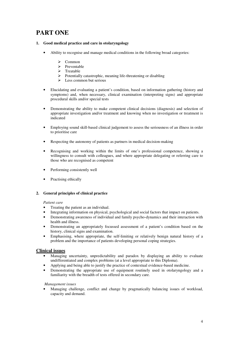### **PART ONE**

- **1. Good medical practice and care in otolaryngology**
	- Ability to recognise and manage medical conditions in the following broad categories:
		- $\triangleright$  Common
		- $\triangleright$  Preventable
		- $\triangleright$  Treatable
		- $\triangleright$  Potentially catastrophic, meaning life-threatening or disabling
		- $\triangleright$  Less common but serious
	- Elucidating and evaluating a patient's condition, based on information gathering (history and symptoms) and, when necessary, clinical examination (interpreting signs) and appropriate procedural skills and/or special tests
	- Demonstrating the ability to make competent clinical decisions (diagnosis) and selection of appropriate investigation and/or treatment and knowing when no investigation or treatment is indicated
	- Employing sound skill-based clinical judgement to assess the seriousness of an illness in order to prioritise care
	- Respecting the autonomy of patients as partners in medical decision-making
	- Recognising and working within the limits of one's professional competence, showing a willingness to consult with colleagues, and where appropriate delegating or referring care to those who are recognised as competent
	- Performing consistently well
	- Practising ethically

### **2. General principles of clinical practice**

### *Patient care*

- Treating the patient as an individual.
- Integrating information on physical, psychological and social factors that impact on patients.
- Demonstrating awareness of individual and family psycho-dynamics and their interaction with health and illness.
- Demonstrating an appropriately focussed assessment of a patient's condition based on the history, clinical signs and examination.
- Emphasising, where appropriate, the self-limiting or relatively benign natural history of a problem and the importance of patients developing personal coping strategies.

### **Clinical issues**

- Managing uncertainty, unpredictability and paradox by displaying an ability to evaluate undifferentiated and complex problems (at a level appropriate to this Diploma).
- Applying and being able to justify the practice of contextual evidence-based medicine.
- Demonstrating the appropriate use of equipment routinely used in otolaryngology and a familiarity with the breadth of tests offered in secondary care.

*Management issues*

• Managing challenge, conflict and change by pragmatically balancing issues of workload, capacity and demand.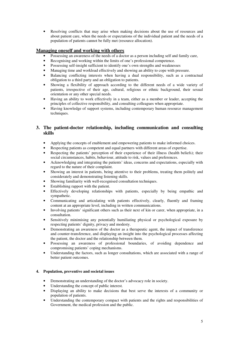• Resolving conflicts that may arise when making decisions about the use of resources and about patient care, when the needs or expectations of the individual patient and the needs of a population of patients cannot be fully met (resource allocation).

### **Managing oneself and working with others**

- Possessing an awareness of the needs of a doctor as a person including self and family care,
- Recognising and working within the limits of one's professional competence.
- Possessing self-insight sufficient to identify one's own strengths and weaknesses
- Managing time and workload effectively and showing an ability to cope with pressure.
- Balancing conflicting interests when having a dual responsibility, such as a contractual obligation to a third party and an obligation to patients.
- Showing a flexibility of approach according to the different needs of a wide variety of patients, irrespective of their age, cultural, religious or ethnic background, their sexual orientation or any other special needs.
- Having an ability to work effectively in a team, either as a member or leader, accepting the principles of collective responsibility, and consulting colleagues when appropriate.
- Having knowledge of support systems, including contemporary human resource management techniques.

### **3. The patient-doctor relationship, including communication and consulting skills**

- Applying the concepts of enablement and empowering patients to make informed choices.
- Respecting patients as competent and equal partners with different areas of expertise.
- Respecting the patients' perception of their experience of their illness (health beliefs); their social circumstances, habits, behaviour, attitude to risk, values and preferences.
- Acknowledging and integrating the patients' ideas, concerns and expectations, especially with regard to the nature of their complaint.
- Showing an interest in patients, being attentive to their problems, treating them politely and considerately and demonstrating listening skills.
- Showing familiarity with well-recognised consultation techniques.
- Establishing rapport with the patient.
- Effectively developing relationships with patients, especially by being empathic and sympathetic.
- Communicating and articulating with patients effectively, clearly, fluently and framing content at an appropriate level, including in written communications.
- Involving patients' significant others such as their next of kin or carer, when appropriate, in a consultation.
- Sensitively minimising any potentially humiliating physical or psychological exposure by respecting patients' dignity, privacy and modesty.
- Demonstrating an awareness of the doctor as a therapeutic agent, the impact of transference and counter-transference, and displaying an insight into the psychological processes affecting the patient, the doctor and the relationship between them.
- Possessing an awareness of professional boundaries, of avoiding dependence and compromising patients' coping mechanisms.
- Understanding the factors, such as longer consultations, which are associated with a range of better patient outcomes.

### **4. Population, preventive and societal issues**

- Demonstrating an understanding of the doctor's advocacy role in society.
- Understanding the concept of public interest.
- Displaying an ability to make decisions that best serve the interests of a community or population of patients.
- Understanding the contemporary compact with patients and the rights and responsibilities of Government, the medical profession and the public.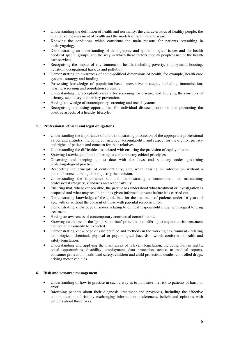- Understanding the definition of health and normality, the characteristics of healthy people, the qualitative measurement of health and the models of health and disease.
- Knowing the conditions which constitute the main reasons for patients consulting in otolaryngology
- Demonstrating an understanding of demographic and epidemiological issues and the health needs of special groups, and the way in which these factors modify people's use of the health care services.
- Recognising the impact of environment on health, including poverty, employment, housing, nutrition, occupational hazards and pollution.
- Demonstrating an awareness of socio-political dimensions of health, for example, health care systems, strategy and funding.
- Possessing knowledge of population-based preventive strategies including immunisation, hearing screening and population screening.
- Understanding the acceptable criteria for screening for disease, and applying the concepts of primary, secondary and tertiary prevention.
- Having knowledge of contemporary screening and recall systems.
- Recognising and using opportunities for individual disease prevention and promoting the positive aspects of a healthy lifestyle.

### **5. Professional, ethical and legal obligations**

- Understanding the importance of and demonstrating possession of the appropriate professional values and attitudes, including consistency, accountability, and respect for the dignity, privacy and rights of patients and concern for their relatives.
- Understanding the difficulties associated with ensuring the provision of equity of care.
- Showing knowledge of and adhering to contemporary ethical principles.
- Observing and keeping up to date with the laws and statutory codes governing otolaryngological practice.
- Respecting the principle of confidentiality; and, when passing on information without a patient's consent, being able to justify the decision.
- Understanding the importance of, and demonstrating a commitment to, maintaining professional integrity, standards and responsibility.
- Ensuring that, whenever possible, the patient has understood what treatment or investigation is proposed and what may result, and has given informed consent before it is carried out.
- Demonstrating knowledge of the guidelines for the treatment of patients under 16 years of age, with or without the consent of those with parental responsibility.
- Demonstrating knowledge of issues relating to clinical responsibility, e.g. with regard to drug treatment.
- Having an awareness of contemporary contractual commitments.
- Showing awareness of the 'good Samaritan' principle, i.e. offering to anyone at risk treatment that could reasonably be expected.
- Demonstrating knowledge of safe practice and methods in the working environment relating to biological, chemical, physical or psychological hazards - which conform to health and safety legislation.
- Understanding and applying the main areas of relevant legislation, including human rights, equal opportunities, disability, employment, data protection, access to medical reports, consumer protection, health and safety, children and child protection, deaths, controlled drugs, driving motor vehicles.

### **6. Risk and resource management**

- Understanding of how to practise in such a way as to minimise the risk to patients of harm or error.
- Informing patients about their diagnosis, treatment and prognosis, including the effective communication of risk by exchanging information, preferences, beliefs and opinions with patients about those risks.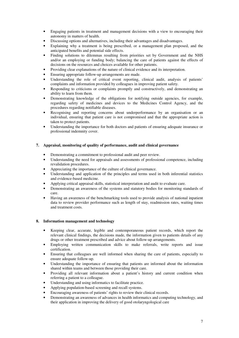- Engaging patients in treatment and management decisions with a view to encouraging their autonomy in matters of health.
- Discussing options and alternatives, including their advantages and disadvantages.
- Explaining why a treatment is being prescribed, or a management plan proposed, and the anticipated benefits and potential side effects.
- Finding solutions to dilemmas resulting from priorities set by Government and the NHS and/or an employing or funding body; balancing the care of patients against the effects of decisions on the resources and choices available for other patients.
- Providing clear explanations of the nature of clinical evidence and its interpretation.
- Ensuring appropriate follow-up arrangements are made.
- Understanding the role of critical event reporting, clinical audit, analysis of patients' complaints and information provided by colleagues in improving patient safety.
- Responding to criticisms or complaints promptly and constructively, and demonstrating an ability to learn from them.
- Demonstrating knowledge of the obligations for notifying outside agencies, for example, regarding safety of medicines and devices to the Medicines Control Agency, and the procedures regarding notifiable diseases.
- Recognising and reporting concerns about underperformance by an organisation or an individual, ensuring that patient care is not compromised and that the appropriate action is taken to protect patients.
- Understanding the importance for both doctors and patients of ensuring adequate insurance or professional indemnity cover.

### **7. Appraisal, monitoring of quality of performance, audit and clinical governance**

- Demonstrating a commitment to professional audit and peer review.
- Understanding the need for appraisals and assessments of professional competence, including revalidation procedures.
- Appreciating the importance of the culture of clinical governance.
- Understanding and application of the principles and terms used in both inferential statistics and evidence-based medicine.
- Applying critical appraisal skills, statistical interpretation and audit to evaluate care.
- Demonstrating an awareness of the systems and statutory bodies for monitoring standards of care.
- Having an awareness of the benchmarking tools used to provide analysis of national inpatient data to review provider performance such as length of stay, readmission rates, waiting times and treatment costs.

### **8. Information management and technology**

- Keeping clear, accurate, legible and contemporaneous patient records, which report the relevant clinical findings, the decisions made, the information given to patients details of any drugs or other treatment prescribed and advice about follow-up arrangements.
- Employing written communication skills to make referrals, write reports and issue certification.
- Ensuring that colleagues are well informed when sharing the care of patients, especially to ensure adequate follow-up.
- Understanding the importance of ensuring that patients are informed about the information shared within teams and between those providing their care.
- Providing all relevant information about a patient's history and current condition when referring a patient to a colleague.
- Understanding and using informatics to facilitate practice.
- Applying population-based screening and recall systems.
- Encouraging awareness of patients' rights to review their clinical records.
- Demonstrating an awareness of advances in health informatics and computing technology, and their application in improving the delivery of good otolaryngological care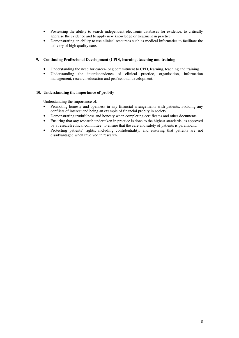- Possessing the ability to search independent electronic databases for evidence, to critically appraise the evidence and to apply new knowledge or treatment in practice.
- Demonstrating an ability to use clinical resources such as medical informatics to facilitate the delivery of high quality care.

### **9. Continuing Professional Development (CPD), learning, teaching and training**

- Understanding the need for career-long commitment to CPD, learning, teaching and training
- Understanding the interdependence of clinical practice, organisation, information management, research education and professional development.

### **10. Understanding the importance of probity**

Understanding the importance of:

- Promoting honesty and openness in any financial arrangements with patients, avoiding any conflicts of interest and being an example of financial probity in society.
- Demonstrating truthfulness and honesty when completing certificates and other documents.
- Ensuring that any research undertaken in practice is done to the highest standards, as approved by a research ethical committee, to ensure that the care and safety of patients is paramount.
- Protecting patients' rights, including confidentiality, and ensuring that patients are not disadvantaged when involved in research.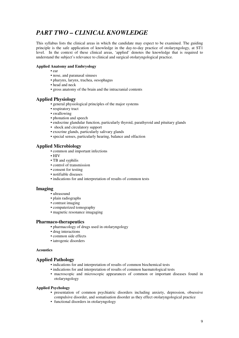### *PART TWO – CLINICAL KNOWLEDGE*

This syllabus lists the clinical areas in which the candidate may expect to be examined. The guiding principle is the safe application of knowledge in the day-to-day practice of otolaryngology, at ST1 level. In the context of these clinical areas, 'applied' denotes the knowledge that is required to understand the subject's relevance to clinical and surgical otolaryngological practice.

### **Applied Anatomy and Embryology**

- ear
- nose, and paranasal sinuses
- pharynx, larynx, trachea, oesophagus
- head and neck
- gross anatomy of the brain and the intracranial contents

### **Applied Physiology**

- general physiological principles of the major systems
- respiratory tract
- swallowing
- phonation and speech
- endocrine glandular function, particularly thyroid, parathyroid and pituitary glands
- shock and circulatory support
- exocrine glands, particularly salivary glands
- special senses, particularly hearing, balance and olfaction

### **Applied Microbiology**

- common and important infections
- HIV
- TB and syphilis
- control of transmission
- consent for testing
- notifiable diseases
- indications for and interpretation of results of common tests

### **Imaging**

- ultrasound
- plain radiographs
- contrast imaging
- computerized tomography
- magnetic resonance imagaging

### **Pharmaco-therapeutics**

- pharmacology of drugs used in otolaryngology
- drug interactions
- common side effects
- iatrogenic disorders

#### **Acoustics**

### **Applied Pathology**

- indications for and interpretation of results of common biochemical tests
- indications for and interpretation of results of common haematological tests
- macroscopic and microscopic appearances of common or important diseases found in otolaryngology

#### **Applied Psychology**

- **•** presentation of common psychiatric disorders including anxiety, depression, obsessive compulsive disorder, and somatisation disorder as they effect otolaryngological practice
- functional disorders in otolaryngology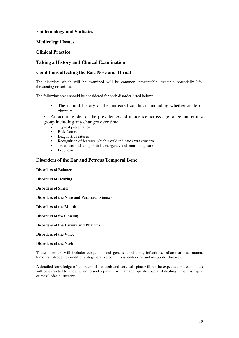### **Epidemiology and Statistics**

### **Medicolegal Issues**

### **Clinical Practice**

### **Taking a History and Clinical Examination**

### **Conditions affecting the Ear, Nose and Throat**

The disorders which will be examined will be common, preventable, treatable potentially lifethreatening or serious.

The following areas should be considered for each disorder listed below:

- The natural history of the untreated condition, including whether acute or chronic
- An accurate idea of the prevalence and incidence across age range and ethnic group including any changes over time
	- Typical presentation
	- Risk factors
	- Diagnostic features
	- Recognition of features which would indicate extra concern
	- Treatment including initial, emergency and continuing care
	- **Prognosis**

### **Disorders of the Ear and Petrous Temporal Bone**

**Disorders of Balance**

**Disorders of Hearing**

**Disorders of Smell**

**Disorders of the Nose and Paranasal Sinuses**

**Disorders of the Mouth**

**Disorders of Swallowing**

**Disorders of the Larynx and Pharynx**

**Disorders of the Voice**

### **Disorders of the Neck**

These disorders will include: congenital and genetic conditions, infections, inflammations, trauma, tumours, iatrogenic conditions, degenerative conditions, endocrine and metabolic diseases.

A detailed knowledge of disorders of the teeth and cervical spine will not be expected, but candidates will be expected to know when to seek opinion from an appropriate specialist dealing in neurosurgery or maxillofacial surgery.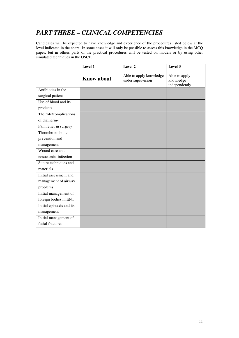### *PART THREE – CLINICAL COMPETENCIES*

Candidates will be expected to have knowledge and experience of the procedures listed below at the level indicated in the chart. In some cases it will only be possible to assess this knowledge in the MCQ paper, but in others parts of the practical procedures will be tested on models or by using other simulated techniques in the OSCE.

|                           | Level 1           | Level 2                                      | Level $3$                                   |
|---------------------------|-------------------|----------------------------------------------|---------------------------------------------|
|                           | <b>Know about</b> | Able to apply knowledge<br>under supervision | Able to apply<br>knowledge<br>independently |
| Antibiotics in the        |                   |                                              |                                             |
| surgical patient          |                   |                                              |                                             |
| Use of blood and its      |                   |                                              |                                             |
| products                  |                   |                                              |                                             |
| The role/complications    |                   |                                              |                                             |
| of diathermy              |                   |                                              |                                             |
| Pain relief in surgery    |                   |                                              |                                             |
| Thrombo-embolic           |                   |                                              |                                             |
| prevention and            |                   |                                              |                                             |
| management                |                   |                                              |                                             |
| Wound care and            |                   |                                              |                                             |
| nosocomial infection      |                   |                                              |                                             |
| Suture techniques and     |                   |                                              |                                             |
| materials                 |                   |                                              |                                             |
| Initial assessment and    |                   |                                              |                                             |
| management of airway      |                   |                                              |                                             |
| problems                  |                   |                                              |                                             |
| Initial management of     |                   |                                              |                                             |
| foreign bodies in ENT     |                   |                                              |                                             |
| Initial epistaxis and its |                   |                                              |                                             |
| management                |                   |                                              |                                             |
| Initial management of     |                   |                                              |                                             |
| facial fractures          |                   |                                              |                                             |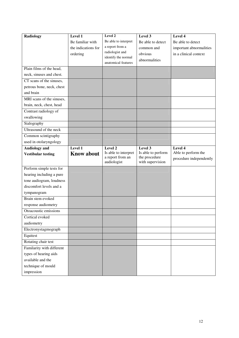| <b>Radiology</b>          | Level 1             | Level 2                                  | Level 3                             | Level 4                 |
|---------------------------|---------------------|------------------------------------------|-------------------------------------|-------------------------|
|                           | Be familiar with    | Be able to interpret                     | Be able to detect                   | Be able to detect       |
|                           | the indications for | a report from a                          | common and                          | important abnormalities |
|                           | ordering            | radiologist and                          | obvious                             | in a clinical context   |
|                           |                     | identify the normal                      | abnormalities                       |                         |
|                           |                     | anatomical features                      |                                     |                         |
| Plain films of the head,  |                     |                                          |                                     |                         |
| neck, sinuses and chest.  |                     |                                          |                                     |                         |
| CT scans of the sinuses,  |                     |                                          |                                     |                         |
| petrous bone, neck, chest |                     |                                          |                                     |                         |
| and brain                 |                     |                                          |                                     |                         |
| MRI scans of the sinuses, |                     |                                          |                                     |                         |
| brain, neck, chest, head  |                     |                                          |                                     |                         |
| Contrast radiology of     |                     |                                          |                                     |                         |
| swallowing                |                     |                                          |                                     |                         |
| Sialography               |                     |                                          |                                     |                         |
| Ultrasound of the neck    |                     |                                          |                                     |                         |
| Common scintigraphy       |                     |                                          |                                     |                         |
| used in otolaryngology    |                     |                                          |                                     |                         |
| <b>Audiology</b> and      | Level 1             | Level 2                                  | Level 3                             | Level 4                 |
| <b>Vestibular testing</b> | <b>Know about</b>   | Is able to interpret<br>a report from an | Is able to perform<br>the procedure | Able to perform the     |
|                           |                     | audiologist                              | with supervision                    | procedure independently |
| Perform simple tests for  |                     |                                          |                                     |                         |
| hearing including a pure  |                     |                                          |                                     |                         |
| tone audiogram, loudness  |                     |                                          |                                     |                         |
| discomfort levels and a   |                     |                                          |                                     |                         |
| tympanogram               |                     |                                          |                                     |                         |
| Brain stem evoked         |                     |                                          |                                     |                         |
| response audiometry       |                     |                                          |                                     |                         |
| Otoacoustic emissions     |                     |                                          |                                     |                         |
| Cortical evoked           |                     |                                          |                                     |                         |
| audiometry                |                     |                                          |                                     |                         |
| Electronystagmograph      |                     |                                          |                                     |                         |
| Equitest                  |                     |                                          |                                     |                         |
| Rotating chair test       |                     |                                          |                                     |                         |
| Familarity with different |                     |                                          |                                     |                         |
| types of hearing aids     |                     |                                          |                                     |                         |
| available and the         |                     |                                          |                                     |                         |
| technique of mould        |                     |                                          |                                     |                         |
| impression                |                     |                                          |                                     |                         |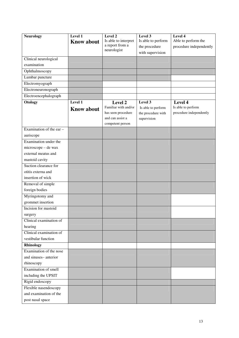| <b>Neurology</b>                               | Level 1           | Level 2                                 | Level 3                             | Level 4                                        |
|------------------------------------------------|-------------------|-----------------------------------------|-------------------------------------|------------------------------------------------|
|                                                | <b>Know about</b> | Is able to interpret<br>a report from a | Is able to perform<br>the procedure | Able to perform the<br>procedure independently |
|                                                |                   | neurologist                             | with supervision                    |                                                |
| Clinical neurological                          |                   |                                         |                                     |                                                |
| examination                                    |                   |                                         |                                     |                                                |
| Ophthalmoscopy                                 |                   |                                         |                                     |                                                |
| Lumbar puncture                                |                   |                                         |                                     |                                                |
| Electromyograph                                |                   |                                         |                                     |                                                |
| Electroneuronograph                            |                   |                                         |                                     |                                                |
| Electroencephalograph                          |                   |                                         |                                     |                                                |
| Otology                                        | Level 1           | Level 2                                 | Level 3                             | Level 4                                        |
|                                                | <b>Know about</b> | Familiar with and/or                    | Is able to perform                  | Is able to perform                             |
|                                                |                   | has seen procedure<br>and can assist a  | the procedure with                  | procedure independently                        |
|                                                |                   | competent person                        | supervision                         |                                                |
| Examination of the ear $-$                     |                   |                                         |                                     |                                                |
| auriscope                                      |                   |                                         |                                     |                                                |
| Examination under the                          |                   |                                         |                                     |                                                |
| microscope - de wax                            |                   |                                         |                                     |                                                |
| external meatus and                            |                   |                                         |                                     |                                                |
| mastoid cavity                                 |                   |                                         |                                     |                                                |
| Suction clearance for                          |                   |                                         |                                     |                                                |
| otitis externa and                             |                   |                                         |                                     |                                                |
| insertion of wick                              |                   |                                         |                                     |                                                |
| Removal of simple                              |                   |                                         |                                     |                                                |
| foreign bodies                                 |                   |                                         |                                     |                                                |
| Myringotomy and                                |                   |                                         |                                     |                                                |
| grommet insertion                              |                   |                                         |                                     |                                                |
| Incision for mastoid                           |                   |                                         |                                     |                                                |
| surgery                                        |                   |                                         |                                     |                                                |
| Clinical examination of                        |                   |                                         |                                     |                                                |
| hearing                                        |                   |                                         |                                     |                                                |
| Clinical examination of<br>vestibular function |                   |                                         |                                     |                                                |
| <b>Rhinology</b>                               |                   |                                         |                                     |                                                |
| Examination of the nose                        |                   |                                         |                                     |                                                |
| and sinuses-anterior                           |                   |                                         |                                     |                                                |
| rhinoscopy                                     |                   |                                         |                                     |                                                |
| Examination of smell                           |                   |                                         |                                     |                                                |
| including the UPSIT                            |                   |                                         |                                     |                                                |
| Rigid endoscopy                                |                   |                                         |                                     |                                                |
| Flexible nasendoscopy                          |                   |                                         |                                     |                                                |
| and examination of the                         |                   |                                         |                                     |                                                |
| post nasal space                               |                   |                                         |                                     |                                                |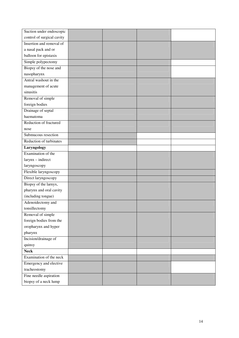| Suction under endoscopic   |  |  |
|----------------------------|--|--|
| control of surgical cavity |  |  |
| Insertion and removal of   |  |  |
| a nasal pack and or        |  |  |
| balloon for epistaxis      |  |  |
| Simple polypectomy         |  |  |
| Biopsy of the nose and     |  |  |
| nasopharynx                |  |  |
| Antral washout in the      |  |  |
| management of acute        |  |  |
| sinusitis                  |  |  |
| Removal of simple          |  |  |
| foreign bodies             |  |  |
| Drainage of septal         |  |  |
| haematoma                  |  |  |
| Reduction of fractured     |  |  |
| nose                       |  |  |
| Submucous resection        |  |  |
| Reduction of turbinates    |  |  |
| Laryngology                |  |  |
| Examination of the         |  |  |
| $larynx - indirect$        |  |  |
| laryngoscopy               |  |  |
| Flexible laryngoscopy      |  |  |
| Direct laryngoscopy        |  |  |
| Biopsy of the larnyx,      |  |  |
| pharynx and oral cavity    |  |  |
| (including tongue)         |  |  |
| Adenoidectomy and          |  |  |
| tonsillectomy              |  |  |
| Removal of simple          |  |  |
| foreign bodies from the    |  |  |
| oropharynx and hyper       |  |  |
| pharynx                    |  |  |
| Incision/drainage of       |  |  |
| quinsy                     |  |  |
| <b>Neck</b>                |  |  |
| Examination of the neck    |  |  |
| Emergency and elective     |  |  |
| tracheostomy               |  |  |
| Fine needle aspiration     |  |  |
| biopsy of a neck lump      |  |  |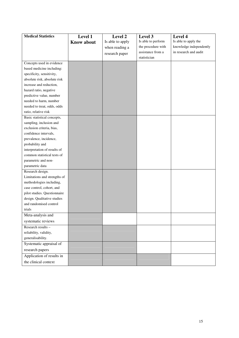| <b>Medical Statistics</b>    | Level 1<br><b>Know about</b> | Level 2<br>Is able to apply | Level 3<br>Is able to perform | Level 4<br>Is able to apply the |
|------------------------------|------------------------------|-----------------------------|-------------------------------|---------------------------------|
|                              |                              | when reading a              | the procedure with            | knowledge independently         |
|                              |                              | research paper              | assistance from a             | in research and audit           |
|                              |                              |                             | statistician                  |                                 |
| Concepts used in evidence    |                              |                             |                               |                                 |
| based medicine including:    |                              |                             |                               |                                 |
| specificity, sensitivity,    |                              |                             |                               |                                 |
| absolute risk, absolute risk |                              |                             |                               |                                 |
| increase and reduction,      |                              |                             |                               |                                 |
| hazard ratio, negative       |                              |                             |                               |                                 |
| predictive value, number     |                              |                             |                               |                                 |
| needed to harm, number       |                              |                             |                               |                                 |
| needed to treat, odds, odds  |                              |                             |                               |                                 |
| ratio, relative risk         |                              |                             |                               |                                 |
| Basic statistical concepts,  |                              |                             |                               |                                 |
| sampling, inclusion and      |                              |                             |                               |                                 |
| exclusion criteria, bias,    |                              |                             |                               |                                 |
| confidence intervals,        |                              |                             |                               |                                 |
| prevalence, incidence,       |                              |                             |                               |                                 |
| probability and              |                              |                             |                               |                                 |
| interpretation of results of |                              |                             |                               |                                 |
| common statistical tests of  |                              |                             |                               |                                 |
| parametric and non-          |                              |                             |                               |                                 |
| parametric data              |                              |                             |                               |                                 |
| Research design.             |                              |                             |                               |                                 |
| Limitations and strengths of |                              |                             |                               |                                 |
| methodologies including,     |                              |                             |                               |                                 |
| case control, cohort, and    |                              |                             |                               |                                 |
| pilot studies. Questionnaire |                              |                             |                               |                                 |
| design. Qualitative studies  |                              |                             |                               |                                 |
| and randomised control       |                              |                             |                               |                                 |
| trials                       |                              |                             |                               |                                 |
| Meta-analysis and            |                              |                             |                               |                                 |
| systematic reviews           |                              |                             |                               |                                 |
| Research results -           |                              |                             |                               |                                 |
| reliability, validity,       |                              |                             |                               |                                 |
| generalisability.            |                              |                             |                               |                                 |
| Systematic appraisal of      |                              |                             |                               |                                 |
| research papers              |                              |                             |                               |                                 |
| Application of results in    |                              |                             |                               |                                 |
| the clinical context         |                              |                             |                               |                                 |